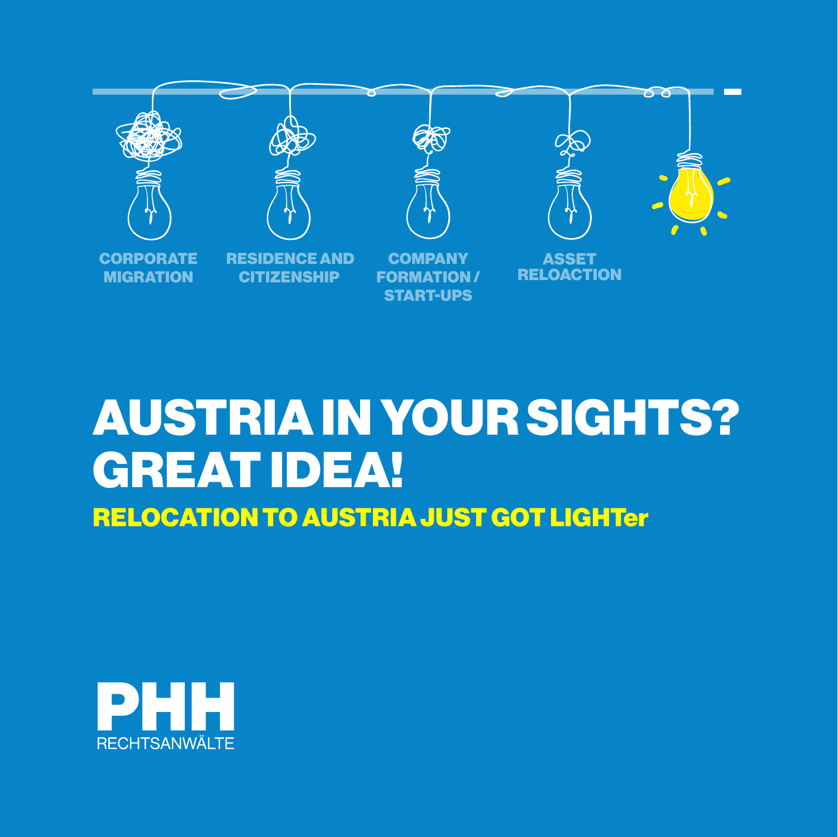

# AUSTRIA IN YOUR SIGHTS? GREAT IDEA! RELOCATION TO AUSTRIA JUST GOT LIGHTer

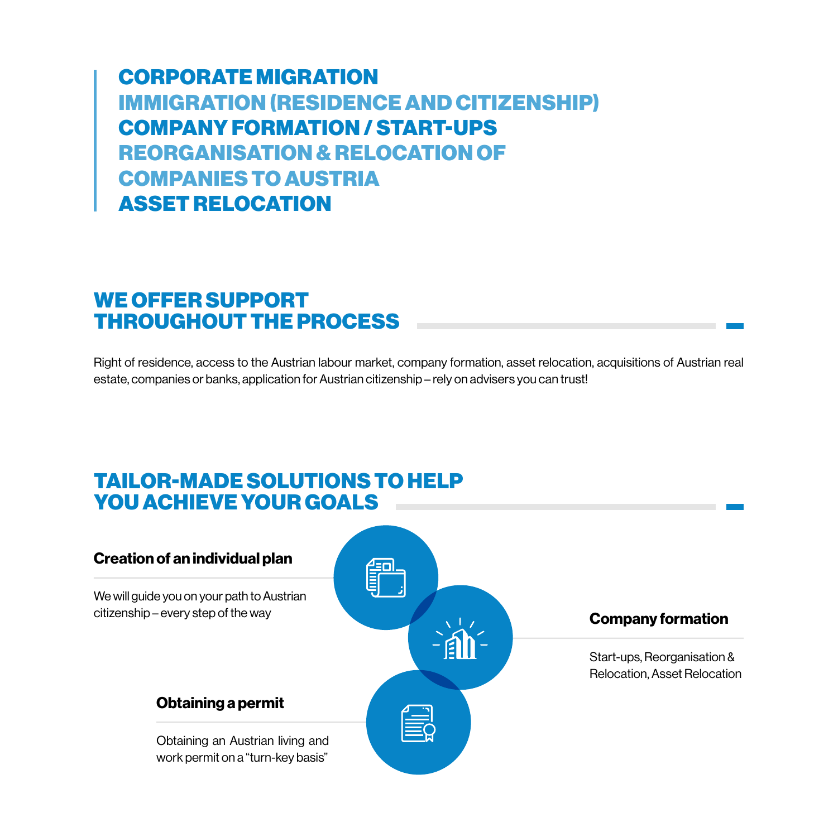CORPORATE MIGRATION IMMIGRATION (RESIDENCE AND CITIZENSHIP) COMPANY FORMATION / START-UPS REORGANISATION & RELOCATION OF COMPANIES TO AUSTRIA ASSET RELOCATION

### WE OFFER SUPPORT THROUGHOUT THE PROCESS

Right of residence, access to the Austrian labour market, company formation, asset relocation, acquisitions of Austrian real estate, companies or banks, application for Austrian citizenship – rely on advisers you can trust!

## TAILOR-MADE SOLUTIONS TO HELP YOU ACHIEVE YOUR GOALS

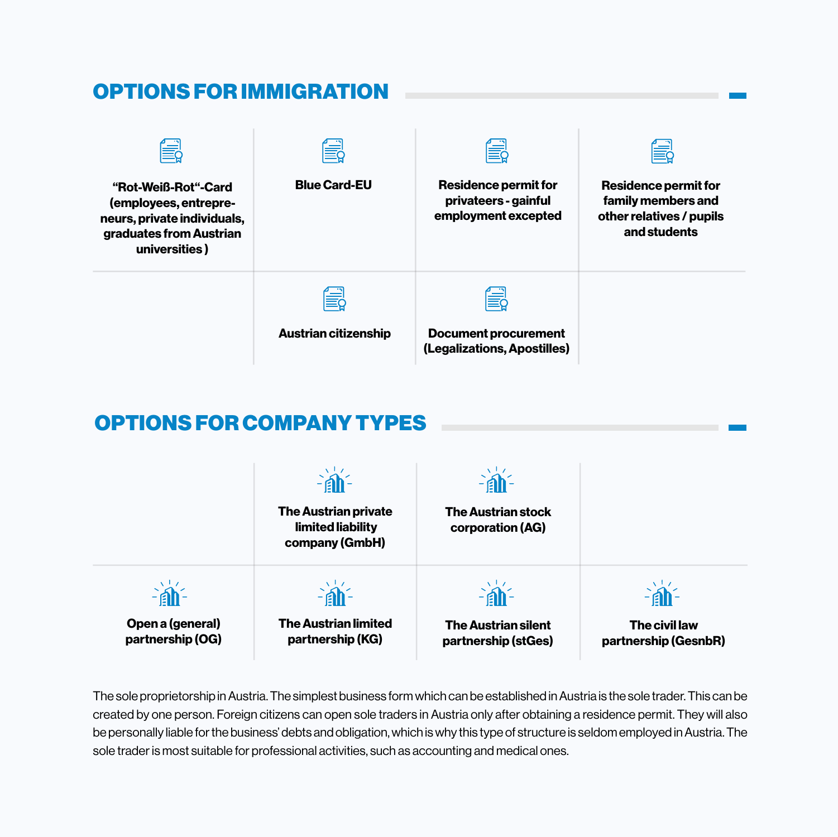#### OPTIONS FOR IMMIGRATION "Rot-Weiß-Rot"-Card (employees, entrepreneurs, private individuals, graduates from Austrian universities ) Blue Card-EU Residence permit for privateers - gainful employment excepted Residence permit for family members and other relatives / pupils and students Austrian citizenship Document procurement (Legalizations, Apostilles)

# OPTIONS FOR COMPANY TYPES



The sole proprietorship in Austria. The simplest business form which can be established in Austria is the sole trader. This can be created by one person. Foreign citizens can open sole traders in Austria only after obtaining a residence permit. They will also be personally liable for the business' debts and obligation, which is why this type of structure is seldom employed in Austria. The sole trader is most suitable for professional activities, such as accounting and medical ones.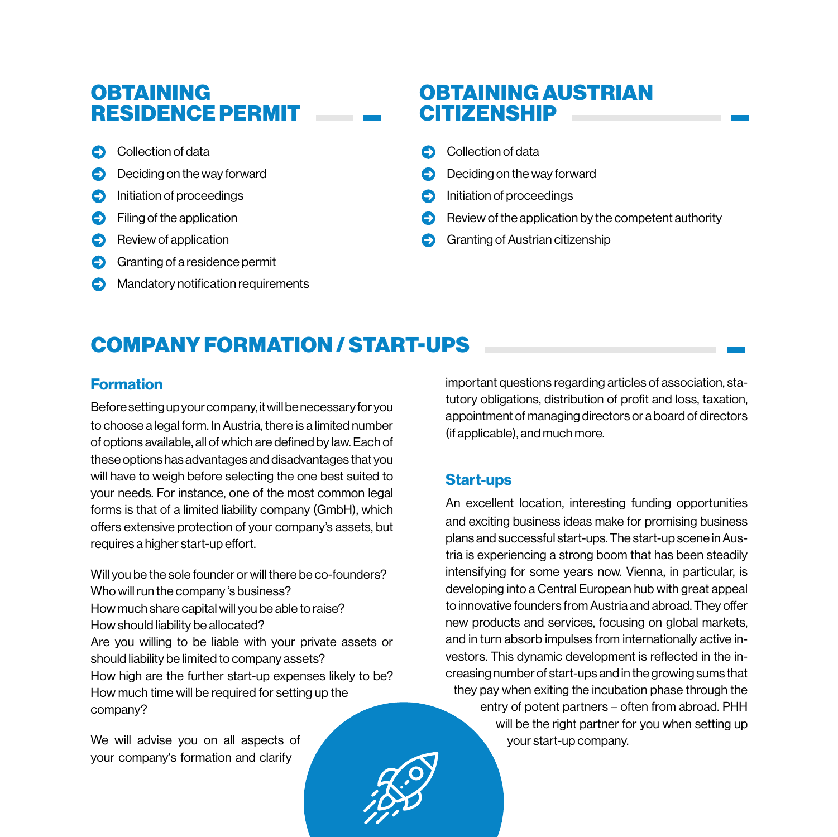## **OBTAINING** RESIDENCE PERMIT

- Collection of data
- **Deciding on the way forward**
- **C** Initiation of proceedings
- **C** Filing of the application
- Review of application
- Granting of a residence permit
- Mandatory notification requirements

## OBTAINING AUSTRIAN **CITIZENSHIP**

- Collection of data
- Deciding on the way forward
- Initiation of proceedings
- Review of the application by the competent authority
- Granting of Austrian citizenship

# COMPANY FORMATION / START-UPS

#### Formation

Before setting up your company, it will be necessary for you to choose a legal form. In Austria, there is a limited number of options available, all of which are defined by law. Each of these options has advantages and disadvantages that you will have to weigh before selecting the one best suited to your needs. For instance, one of the most common legal forms is that of a limited liability company (GmbH), which offers extensive protection of your company's assets, but requires a higher start-up effort.

Will you be the sole founder or will there be co-founders? Who will run the company 's business? How much share capital will you be able to raise? How should liability be allocated? Are you willing to be liable with your private assets or should liability be limited to company assets? How high are the further start-up expenses likely to be? How much time will be required for setting up the company?

We will advise you on all aspects of your company's formation and clarify

important questions regarding articles of association, statutory obligations, distribution of profit and loss, taxation, appointment of managing directors or a board of directors (if applicable), and much more.

#### Start-ups

An excellent location, interesting funding opportunities and exciting business ideas make for promising business plans and successful start-ups. The start-up scene in Austria is experiencing a strong boom that has been steadily intensifying for some years now. Vienna, in particular, is developing into a Central European hub with great appeal to innovative founders from Austria and abroad. They offer new products and services, focusing on global markets, and in turn absorb impulses from internationally active investors. This dynamic development is reflected in the increasing number of start-ups and in the growing sums that they pay when exiting the incubation phase through the entry of potent partners – often from abroad. PHH will be the right partner for you when setting up your start-up company.

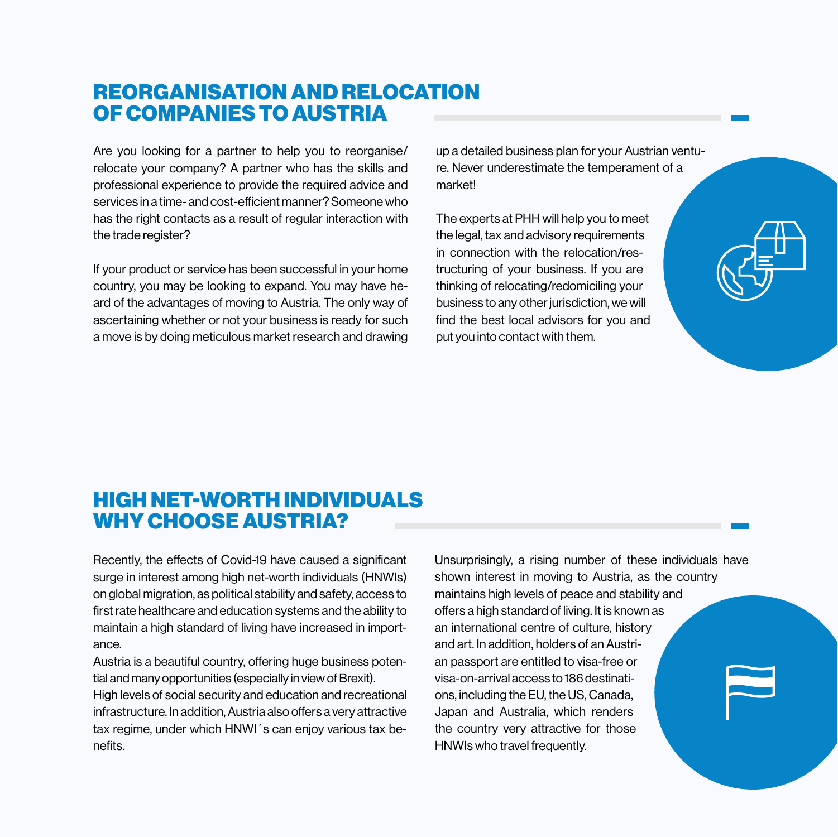## REORGANISATION AND RELOCATION OF COMPANIES TO AUSTRIA

Are you looking for a partner to help you to reorganise/ relocate your company? A partner who has the skills and professional experience to provide the required advice and services in a time- and cost-efficient manner? Someone who has the right contacts as a result of regular interaction with the trade register?

If your product or service has been successful in your home country, you may be looking to expand. You may have heard of the advantages of moving to Austria. The only way of ascertaining whether or not your business is ready for such a move is by doing meticulous market research and drawing

up a detailed business plan for your Austrian venture. Never underestimate the temperament of a market!

The experts at PHH will help you to meet the legal, tax and advisory requirements in connection with the relocation/restructuring of your business. If you are thinking of relocating/redomiciling your business to any other jurisdiction, we will find the best local advisors for you and put you into contact with them.

| $\blacklozenge$ |  |
|-----------------|--|
|                 |  |

## HIGH NET-WORTH INDIVIDUALS WHY CHOOSE AUSTRIA?

Recently, the effects of Covid-19 have caused a significant surge in interest among high net-worth individuals (HNWIs) on global migration, as political stability and safety, access to first rate healthcare and education systems and the ability to maintain a high standard of living have increased in importance.

Austria is a beautiful country, offering huge business potential and many opportunities (especially in view of Brexit).

High levels of social security and education and recreational infrastructure. In addition, Austria also offers a very attractive tax regime, under which HNWI´s can enjoy various tax benefits.

Unsurprisingly, a rising number of these individuals have shown interest in moving to Austria, as the country maintains high levels of peace and stability and offers a high standard of living. It is known as an international centre of culture, history and art. In addition, holders of an Austrian passport are entitled to visa-free or visa-on-arrival access to 186 destinations, including the EU, the US, Canada, Japan and Australia, which renders the country very attractive for those HNWIs who travel frequently.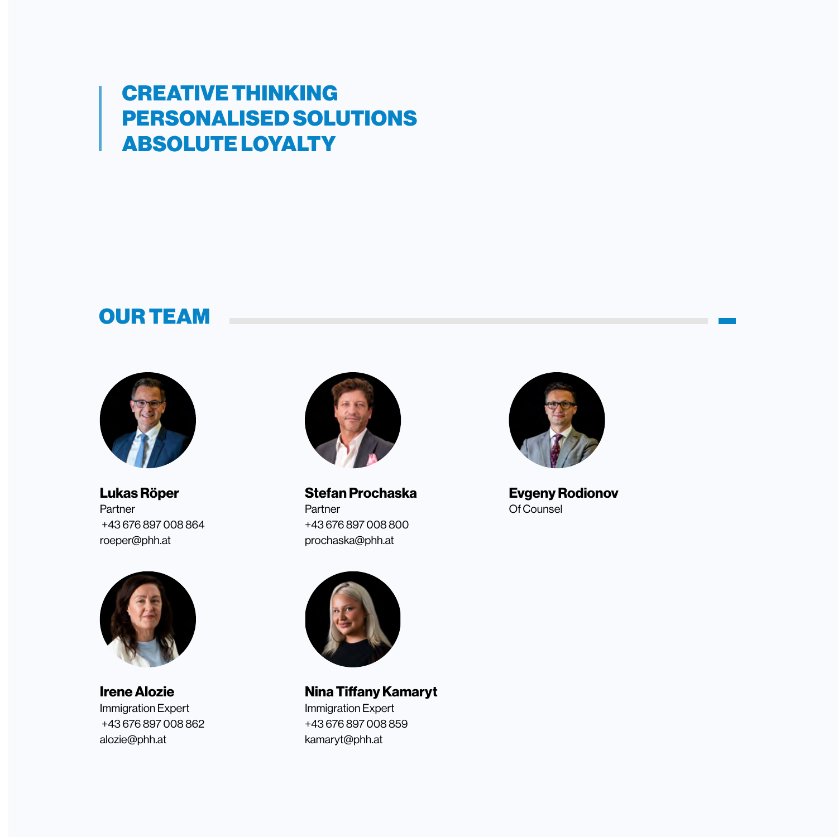## CREATIVE THINKING PERSONALISED SOLUTIONS ABSOLUTE LOYALTY

## OUR TEAM



Lukas Röper Partner +43 676 897 008 864 roeper@phh.at



Irene Alozie Immigration Expert +43 676 897 008 862 alozie@phh.at



Stefan Prochaska Partner +43 676 897 008 800 prochaska@phh.at



Nina Tiffany Kamaryt Immigration Expert +43 676 897 008 859 kamaryt@phh.at



Evgeny Rodionov Of Counsel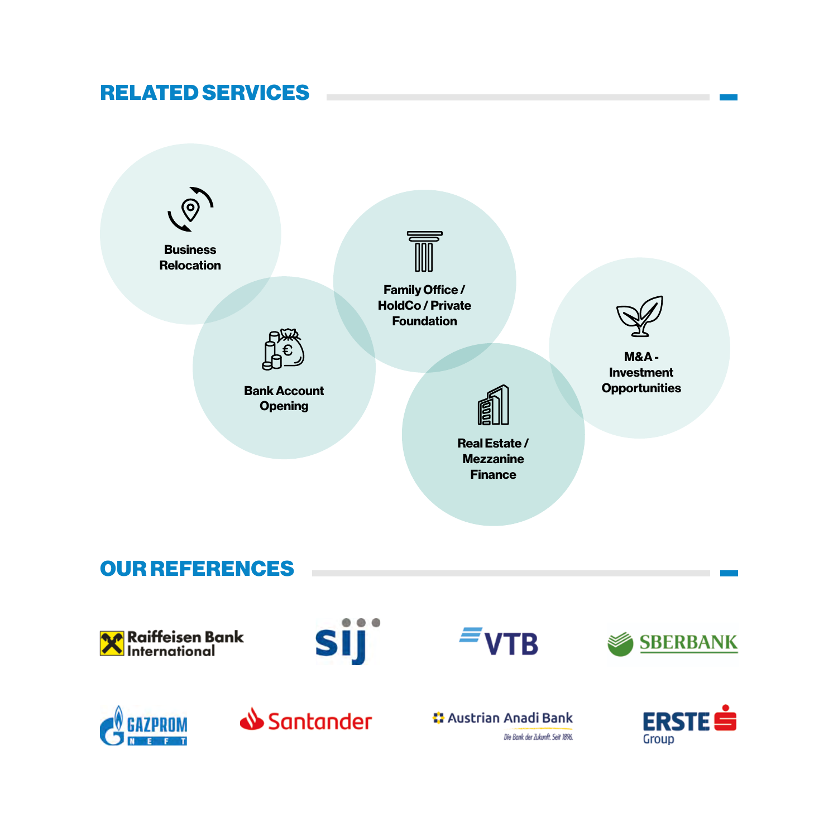## RELATED SERVICES



Die Bank der Zukunft, Seit 1896.